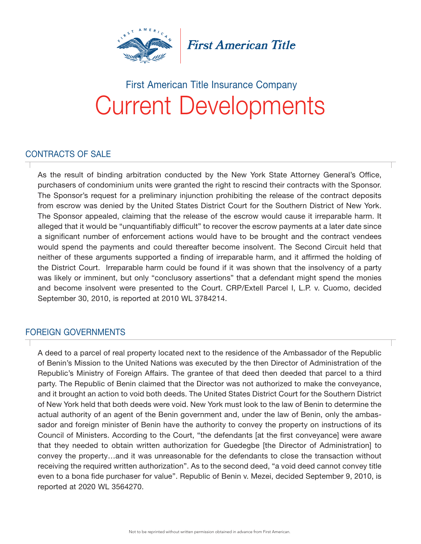

**First American Title** 

### Current Developments First American Title Insurance Company

#### CONTRACTS OF SALE

As the result of binding arbitration conducted by the New York State Attorney General's Office, purchasers of condominium units were granted the right to rescind their contracts with the Sponsor. The Sponsor's request for a preliminary injunction prohibiting the release of the contract deposits from escrow was denied by the United States District Court for the Southern District of New York. The Sponsor appealed, claiming that the release of the escrow would cause it irreparable harm. It alleged that it would be "unquantifiably difficult" to recover the escrow payments at a later date since a significant number of enforcement actions would have to be brought and the contract vendees would spend the payments and could thereafter become insolvent. The Second Circuit held that neither of these arguments supported a finding of irreparable harm, and it affirmed the holding of the District Court. Irreparable harm could be found if it was shown that the insolvency of a party was likely or imminent, but only "conclusory assertions" that a defendant might spend the monies and become insolvent were presented to the Court. CRP/Extell Parcel I, L.P. v. Cuomo, decided September 30, 2010, is reported at 2010 WL 3784214.

#### FOREIGN GOVERNMENTS

A deed to a parcel of real property located next to the residence of the Ambassador of the Republic of Benin's Mission to the United Nations was executed by the then Director of Administration of the Republic's Ministry of Foreign Affairs. The grantee of that deed then deeded that parcel to a third party. The Republic of Benin claimed that the Director was not authorized to make the conveyance, and it brought an action to void both deeds. The United States District Court for the Southern District of New York held that both deeds were void. New York must look to the law of Benin to determine the actual authority of an agent of the Benin government and, under the law of Benin, only the ambassador and foreign minister of Benin have the authority to convey the property on instructions of its Council of Ministers. According to the Court, "the defendants [at the first conveyance] were aware that they needed to obtain written authorization for Guedegbe [the Director of Administration] to convey the property…and it was unreasonable for the defendants to close the transaction without receiving the required written authorization". As to the second deed, "a void deed cannot convey title even to a bona fide purchaser for value". Republic of Benin v. Mezei, decided September 9, 2010, is reported at 2020 WL 3564270.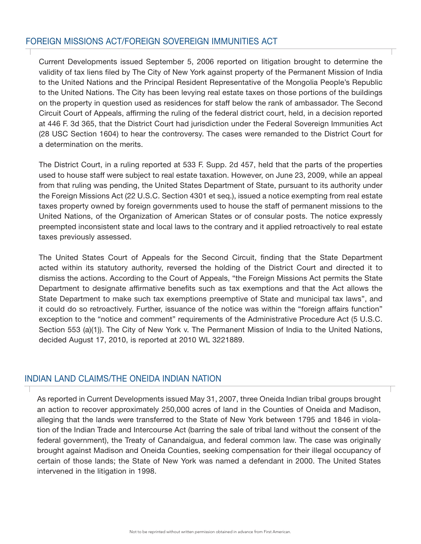#### FOREIGN MISSIONS ACT/FOREIGN SOVEREIGN IMMUNITIES ACT

Current Developments issued September 5, 2006 reported on litigation brought to determine the validity of tax liens filed by The City of New York against property of the Permanent Mission of India to the United Nations and the Principal Resident Representative of the Mongolia People's Republic to the United Nations. The City has been levying real estate taxes on those portions of the buildings on the property in question used as residences for staff below the rank of ambassador. The Second Circuit Court of Appeals, affirming the ruling of the federal district court, held, in a decision reported at 446 F. 3d 365, that the District Court had jurisdiction under the Federal Sovereign Immunities Act (28 USC Section 1604) to hear the controversy. The cases were remanded to the District Court for a determination on the merits.

The District Court, in a ruling reported at 533 F. Supp. 2d 457, held that the parts of the properties used to house staff were subject to real estate taxation. However, on June 23, 2009, while an appeal from that ruling was pending, the United States Department of State, pursuant to its authority under the Foreign Missions Act (22 U.S.C. Section 4301 et seq.), issued a notice exempting from real estate taxes property owned by foreign governments used to house the staff of permanent missions to the United Nations, of the Organization of American States or of consular posts. The notice expressly preempted inconsistent state and local laws to the contrary and it applied retroactively to real estate taxes previously assessed.

The United States Court of Appeals for the Second Circuit, finding that the State Department acted within its statutory authority, reversed the holding of the District Court and directed it to dismiss the actions. According to the Court of Appeals, "the Foreign Missions Act permits the State Department to designate affirmative benefits such as tax exemptions and that the Act allows the State Department to make such tax exemptions preemptive of State and municipal tax laws", and it could do so retroactively. Further, issuance of the notice was within the "foreign affairs function" exception to the "notice and comment" requirements of the Administrative Procedure Act (5 U.S.C. Section 553 (a)(1)). The City of New York v. The Permanent Mission of India to the United Nations, decided August 17, 2010, is reported at 2010 WL 3221889.

#### INDIAN LAND CLAIMS/THE ONEIDA INDIAN NATION

As reported in Current Developments issued May 31, 2007, three Oneida Indian tribal groups brought an action to recover approximately 250,000 acres of land in the Counties of Oneida and Madison, alleging that the lands were transferred to the State of New York between 1795 and 1846 in violation of the Indian Trade and Intercourse Act (barring the sale of tribal land without the consent of the federal government), the Treaty of Canandaigua, and federal common law. The case was originally brought against Madison and Oneida Counties, seeking compensation for their illegal occupancy of certain of those lands; the State of New York was named a defendant in 2000. The United States intervened in the litigation in 1998.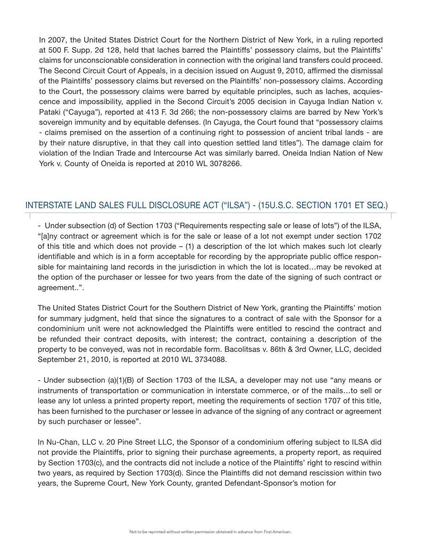In 2007, the United States District Court for the Northern District of New York, in a ruling reported at 500 F. Supp. 2d 128, held that laches barred the Plaintiffs' possessory claims, but the Plaintiffs' claims for unconscionable consideration in connection with the original land transfers could proceed. The Second Circuit Court of Appeals, in a decision issued on August 9, 2010, affirmed the dismissal of the Plaintiffs' possessory claims but reversed on the Plaintiffs' non-possessory claims. According to the Court, the possessory claims were barred by equitable principles, such as laches, acquiescence and impossibility, applied in the Second Circuit's 2005 decision in Cayuga Indian Nation v. Pataki ("Cayuga"), reported at 413 F. 3d 266; the non-possessory claims are barred by New York's sovereign immunity and by equitable defenses. (In Cayuga, the Court found that "possessory claims - claims premised on the assertion of a continuing right to possession of ancient tribal lands - are by their nature disruptive, in that they call into question settled land titles"). The damage claim for violation of the Indian Trade and Intercourse Act was similarly barred. Oneida Indian Nation of New York v. County of Oneida is reported at 2010 WL 3078266.

#### INTERSTATE LAND SALES FULL DISCLOSURE ACT ("ILSA") - (15U.S.C. SECTION 1701 ET SEQ.)

- Under subsection (d) of Section 1703 ("Requirements respecting sale or lease of lots") of the ILSA, "[a]ny contract or agreement which is for the sale or lease of a lot not exempt under section 1702 of this title and which does not provide – (1) a description of the lot which makes such lot clearly identifiable and which is in a form acceptable for recording by the appropriate public office responsible for maintaining land records in the jurisdiction in which the lot is located…may be revoked at the option of the purchaser or lessee for two years from the date of the signing of such contract or agreement..".

The United States District Court for the Southern District of New York, granting the Plaintiffs' motion for summary judgment, held that since the signatures to a contract of sale with the Sponsor for a condominium unit were not acknowledged the Plaintiffs were entitled to rescind the contract and be refunded their contract deposits, with interest; the contract, containing a description of the property to be conveyed, was not in recordable form. Bacolitsas v. 86th & 3rd Owner, LLC, decided September 21, 2010, is reported at 2010 WL 3734088.

- Under subsection (a)(1)(B) of Section 1703 of the ILSA, a developer may not use "any means or instruments of transportation or communication in interstate commerce, or of the mails…to sell or lease any lot unless a printed property report, meeting the requirements of section 1707 of this title, has been furnished to the purchaser or lessee in advance of the signing of any contract or agreement by such purchaser or lessee".

In Nu-Chan, LLC v. 20 Pine Street LLC, the Sponsor of a condominium offering subject to ILSA did not provide the Plaintiffs, prior to signing their purchase agreements, a property report, as required by Section 1703(c), and the contracts did not include a notice of the Plaintiffs' right to rescind within two years, as required by Section 1703(d). Since the Plaintiffs did not demand rescission within two years, the Supreme Court, New York County, granted Defendant-Sponsor's motion for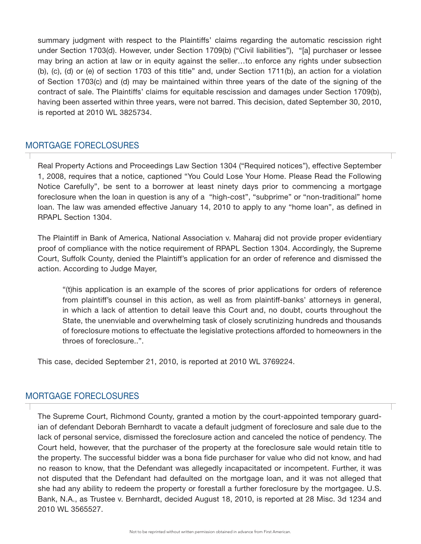summary judgment with respect to the Plaintiffs' claims regarding the automatic rescission right under Section 1703(d). However, under Section 1709(b) ("Civil liabilities"), "[a] purchaser or lessee may bring an action at law or in equity against the seller…to enforce any rights under subsection (b), (c), (d) or (e) of section 1703 of this title" and, under Section 1711(b), an action for a violation of Section 1703(c) and (d) may be maintained within three years of the date of the signing of the contract of sale. The Plaintiffs' claims for equitable rescission and damages under Section 1709(b), having been asserted within three years, were not barred. This decision, dated September 30, 2010, is reported at 2010 WL 3825734.

#### MORTGAGE FORECLOSURES

Real Property Actions and Proceedings Law Section 1304 ("Required notices"), effective September 1, 2008, requires that a notice, captioned "You Could Lose Your Home. Please Read the Following Notice Carefully", be sent to a borrower at least ninety days prior to commencing a mortgage foreclosure when the loan in question is any of a "high-cost", "subprime" or "non-traditional" home loan. The law was amended effective January 14, 2010 to apply to any "home loan", as defined in RPAPL Section 1304.

The Plaintiff in Bank of America, National Association v. Maharaj did not provide proper evidentiary proof of compliance with the notice requirement of RPAPL Section 1304. Accordingly, the Supreme Court, Suffolk County, denied the Plaintiff's application for an order of reference and dismissed the action. According to Judge Mayer,

"(t)his application is an example of the scores of prior applications for orders of reference from plaintiff's counsel in this action, as well as from plaintiff-banks' attorneys in general, in which a lack of attention to detail leave this Court and, no doubt, courts throughout the State, the unenviable and overwhelming task of closely scrutinizing hundreds and thousands of foreclosure motions to effectuate the legislative protections afforded to homeowners in the throes of foreclosure..".

This case, decided September 21, 2010, is reported at 2010 WL 3769224.

#### MORTGAGE FORECLOSURES

The Supreme Court, Richmond County, granted a motion by the court-appointed temporary guardian of defendant Deborah Bernhardt to vacate a default judgment of foreclosure and sale due to the lack of personal service, dismissed the foreclosure action and canceled the notice of pendency. The Court held, however, that the purchaser of the property at the foreclosure sale would retain title to the property. The successful bidder was a bona fide purchaser for value who did not know, and had no reason to know, that the Defendant was allegedly incapacitated or incompetent. Further, it was not disputed that the Defendant had defaulted on the mortgage loan, and it was not alleged that she had any ability to redeem the property or forestall a further foreclosure by the mortgagee. U.S. Bank, N.A., as Trustee v. Bernhardt, decided August 18, 2010, is reported at 28 Misc. 3d 1234 and 2010 WL 3565527.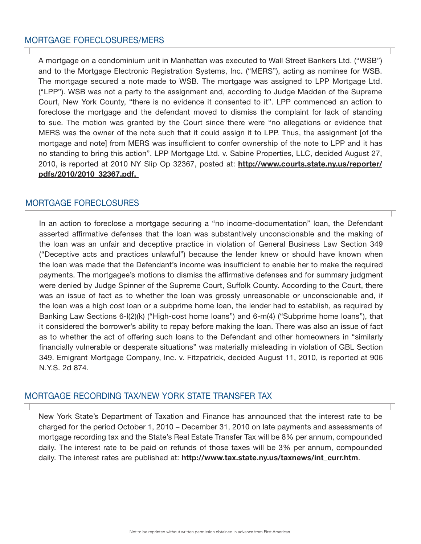A mortgage on a condominium unit in Manhattan was executed to Wall Street Bankers Ltd. ("WSB") and to the Mortgage Electronic Registration Systems, Inc. ("MERS"), acting as nominee for WSB. The mortgage secured a note made to WSB. The mortgage was assigned to LPP Mortgage Ltd. ("LPP"). WSB was not a party to the assignment and, according to Judge Madden of the Supreme Court, New York County, "there is no evidence it consented to it". LPP commenced an action to foreclose the mortgage and the defendant moved to dismiss the complaint for lack of standing to sue. The motion was granted by the Court since there were "no allegations or evidence that MERS was the owner of the note such that it could assign it to LPP. Thus, the assignment [of the mortgage and note] from MERS was insufficient to confer ownership of the note to LPP and it has no standing to bring this action". LPP Mortgage Ltd. v. Sabine Properties, LLC, decided August 27, 2010, is reported at 2010 NY Slip Op 32367, posted at: http://www.courts.state.ny.us/reporter/ pdfs/2010/2010\_32367.pdf.

#### MORTGAGE FORECLOSURES

In an action to foreclose a mortgage securing a "no income-documentation" loan, the Defendant asserted affirmative defenses that the loan was substantively unconscionable and the making of the loan was an unfair and deceptive practice in violation of General Business Law Section 349 ("Deceptive acts and practices unlawful") because the lender knew or should have known when the loan was made that the Defendant's income was insufficient to enable her to make the required payments. The mortgagee's motions to dismiss the affirmative defenses and for summary judgment were denied by Judge Spinner of the Supreme Court, Suffolk County. According to the Court, there was an issue of fact as to whether the loan was grossly unreasonable or unconscionable and, if the loan was a high cost loan or a subprime home loan, the lender had to establish, as required by Banking Law Sections 6-l(2)(k) ("High-cost home loans") and 6-m(4) ("Subprime home loans"), that it considered the borrower's ability to repay before making the loan. There was also an issue of fact as to whether the act of offering such loans to the Defendant and other homeowners in "similarly financially vulnerable or desperate situations" was materially misleading in violation of GBL Section 349. Emigrant Mortgage Company, Inc. v. Fitzpatrick, decided August 11, 2010, is reported at 906 N.Y.S. 2d 874.

#### MORTGAGE RECORDING TAX/NEW YORK STATE TRANSFER TAX

New York State's Department of Taxation and Finance has announced that the interest rate to be charged for the period October 1, 2010 – December 31, 2010 on late payments and assessments of mortgage recording tax and the State's Real Estate Transfer Tax will be 8% per annum, compounded daily. The interest rate to be paid on refunds of those taxes will be 3% per annum, compounded daily. The interest rates are published at: http://www.tax.state.ny.us/taxnews/int\_curr.htm.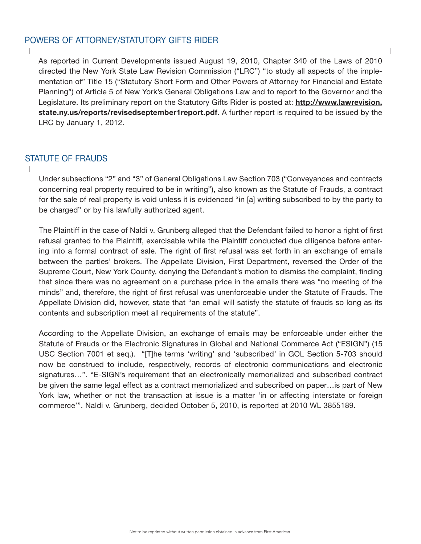#### POWERS OF ATTORNEY/STATUTORY GIFTS RIDER

As reported in Current Developments issued August 19, 2010, Chapter 340 of the Laws of 2010 directed the New York State Law Revision Commission ("LRC") "to study all aspects of the implementation of" Title 15 ("Statutory Short Form and Other Powers of Attorney for Financial and Estate Planning") of Article 5 of New York's General Obligations Law and to report to the Governor and the Legislature. Its preliminary report on the Statutory Gifts Rider is posted at: http://www.lawrevision. state.ny.us/reports/revisedseptember1report.pdf. A further report is required to be issued by the LRC by January 1, 2012.

#### STATUTE OF FRAUDS

Under subsections "2" and "3" of General Obligations Law Section 703 ("Conveyances and contracts concerning real property required to be in writing"), also known as the Statute of Frauds, a contract for the sale of real property is void unless it is evidenced "in [a] writing subscribed to by the party to be charged" or by his lawfully authorized agent.

The Plaintiff in the case of Naldi v. Grunberg alleged that the Defendant failed to honor a right of first refusal granted to the Plaintiff, exercisable while the Plaintiff conducted due diligence before entering into a formal contract of sale. The right of first refusal was set forth in an exchange of emails between the parties' brokers. The Appellate Division, First Department, reversed the Order of the Supreme Court, New York County, denying the Defendant's motion to dismiss the complaint, finding that since there was no agreement on a purchase price in the emails there was "no meeting of the minds" and, therefore, the right of first refusal was unenforceable under the Statute of Frauds. The Appellate Division did, however, state that "an email will satisfy the statute of frauds so long as its contents and subscription meet all requirements of the statute".

According to the Appellate Division, an exchange of emails may be enforceable under either the Statute of Frauds or the Electronic Signatures in Global and National Commerce Act ("ESIGN") (15 USC Section 7001 et seq.). "[T]he terms 'writing' and 'subscribed' in GOL Section 5-703 should now be construed to include, respectively, records of electronic communications and electronic signatures…". "E-SIGN's requirement that an electronically memorialized and subscribed contract be given the same legal effect as a contract memorialized and subscribed on paper…is part of New York law, whether or not the transaction at issue is a matter 'in or affecting interstate or foreign commerce'". Naldi v. Grunberg, decided October 5, 2010, is reported at 2010 WL 3855189.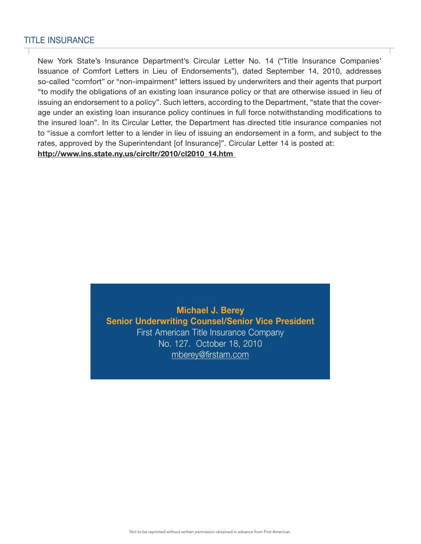#### TITLE INSURANCE

New York State's Insurance Department's Circular Letter No. 14 ("Title Insurance Companies' Issuance of Comfort Letters in Lieu of Endorsements"), dated September 14, 2010, addresses so-called "comfort" or "non-impairment" letters issued by underwriters and their agents that purport "to modify the obligations of an existing loan insurance policy or that are otherwise issued in lieu of issuing an endorsement to a policy". Such letters, according to the Department, "state that the coverage under an existing loan insurance policy continues in full force notwithstanding modifications to the insured loan". In its Circular Letter, the Department has directed title insurance companies not to "issue a comfort letter to a lender in lieu of issuing an endorsement in a form, and subject to the rates, approved by the Superintendant [of Insurance]". Circular Letter 14 is posted at: http://www.ins.state.ny.us/circltr/2010/cl2010\_14.htm

> Michael J. Berey Senior Underwriting Counsel/Senior Vice President First American Title Insurance Company No. 127. October 18, 2010 mberey@firstam.com